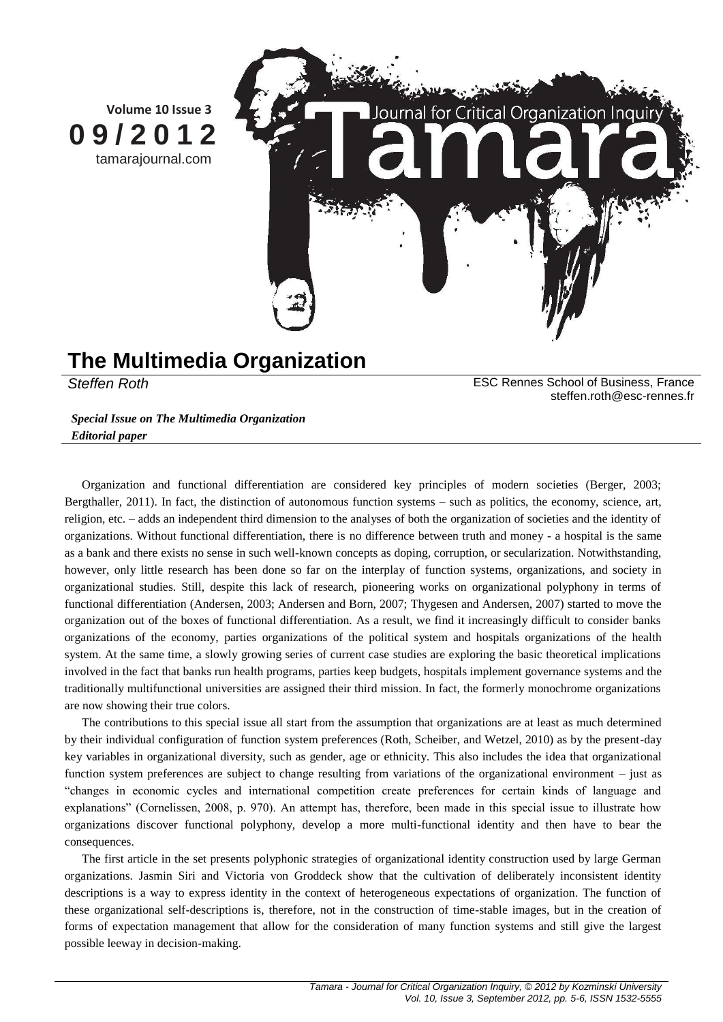

## **The Multimedia Organization**

*Steffen Roth* ESC Rennes School of Business, France steffen.roth@esc-rennes.fr

*Special Issue on The Multimedia Organization Editorial paper*

Organization and functional differentiation are considered key principles of modern societies (Berger, 2003; Bergthaller, 2011). In fact, the distinction of autonomous function systems – such as politics, the economy, science, art, religion, etc. – adds an independent third dimension to the analyses of both the organization of societies and the identity of organizations. Without functional differentiation, there is no difference between truth and money - a hospital is the same as a bank and there exists no sense in such well-known concepts as doping, corruption, or secularization. Notwithstanding, however, only little research has been done so far on the interplay of function systems, organizations, and society in organizational studies. Still, despite this lack of research, pioneering works on organizational polyphony in terms of functional differentiation (Andersen, 2003; Andersen and Born, 2007; Thygesen and Andersen, 2007) started to move the organization out of the boxes of functional differentiation. As a result, we find it increasingly difficult to consider banks organizations of the economy, parties organizations of the political system and hospitals organizations of the health system. At the same time, a slowly growing series of current case studies are exploring the basic theoretical implications involved in the fact that banks run health programs, parties keep budgets, hospitals implement governance systems and the traditionally multifunctional universities are assigned their third mission. In fact, the formerly monochrome organizations are now showing their true colors.

The contributions to this special issue all start from the assumption that organizations are at least as much determined by their individual configuration of function system preferences (Roth, Scheiber, and Wetzel, 2010) as by the present-day key variables in organizational diversity, such as gender, age or ethnicity. This also includes the idea that organizational function system preferences are subject to change resulting from variations of the organizational environment – just as "changes in economic cycles and international competition create preferences for certain kinds of language and explanations" (Cornelissen, 2008, p. 970). An attempt has, therefore, been made in this special issue to illustrate how organizations discover functional polyphony, develop a more multi-functional identity and then have to bear the consequences.

The first article in the set presents polyphonic strategies of organizational identity construction used by large German organizations. Jasmin Siri and Victoria von Groddeck show that the cultivation of deliberately inconsistent identity descriptions is a way to express identity in the context of heterogeneous expectations of organization. The function of these organizational self-descriptions is, therefore, not in the construction of time-stable images, but in the creation of forms of expectation management that allow for the consideration of many function systems and still give the largest possible leeway in decision-making.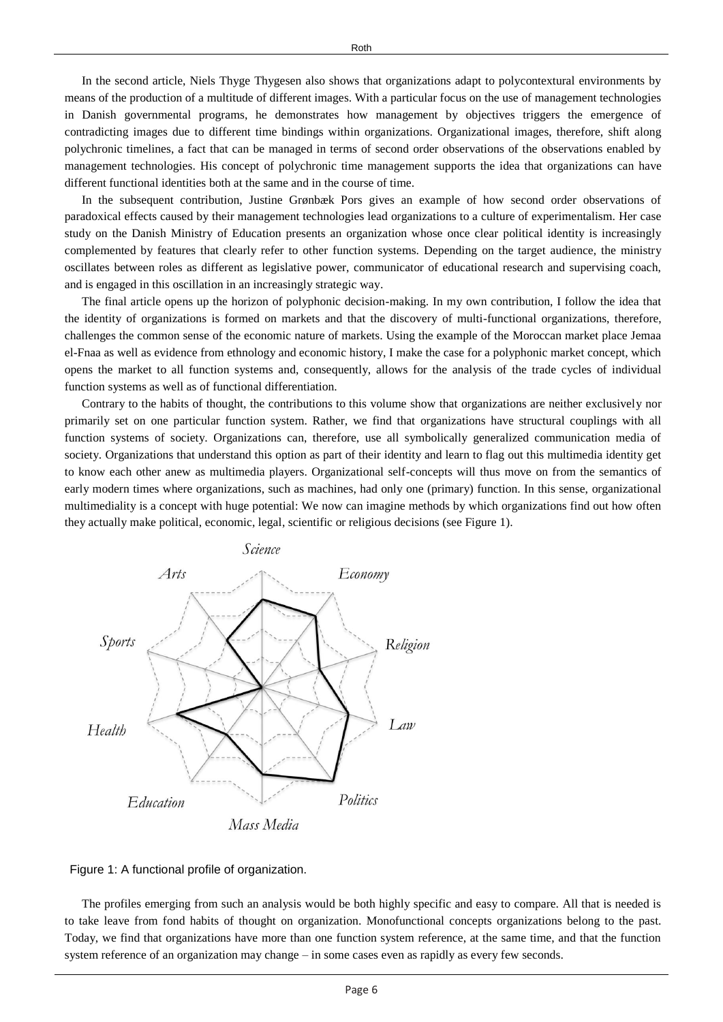In the second article, Niels Thyge Thygesen also shows that organizations adapt to polycontextural environments by means of the production of a multitude of different images. With a particular focus on the use of management technologies in Danish governmental programs, he demonstrates how management by objectives triggers the emergence of contradicting images due to different time bindings within organizations. Organizational images, therefore, shift along polychronic timelines, a fact that can be managed in terms of second order observations of the observations enabled by management technologies. His concept of polychronic time management supports the idea that organizations can have different functional identities both at the same and in the course of time.

In the subsequent contribution, Justine Grønbæk Pors gives an example of how second order observations of paradoxical effects caused by their management technologies lead organizations to a culture of experimentalism. Her case study on the Danish Ministry of Education presents an organization whose once clear political identity is increasingly complemented by features that clearly refer to other function systems. Depending on the target audience, the ministry oscillates between roles as different as legislative power, communicator of educational research and supervising coach, and is engaged in this oscillation in an increasingly strategic way.

The final article opens up the horizon of polyphonic decision-making. In my own contribution, I follow the idea that the identity of organizations is formed on markets and that the discovery of multi-functional organizations, therefore, challenges the common sense of the economic nature of markets. Using the example of the Moroccan market place Jemaa el-Fnaa as well as evidence from ethnology and economic history, I make the case for a polyphonic market concept, which opens the market to all function systems and, consequently, allows for the analysis of the trade cycles of individual function systems as well as of functional differentiation.

Contrary to the habits of thought, the contributions to this volume show that organizations are neither exclusively nor primarily set on one particular function system. Rather, we find that organizations have structural couplings with all function systems of society. Organizations can, therefore, use all symbolically generalized communication media of society. Organizations that understand this option as part of their identity and learn to flag out this multimedia identity get to know each other anew as multimedia players. Organizational self-concepts will thus move on from the semantics of early modern times where organizations, such as machines, had only one (primary) function. In this sense, organizational multimediality is a concept with huge potential: We now can imagine methods by which organizations find out how often they actually make political, economic, legal, scientific or religious decisions (see Figure 1).





The profiles emerging from such an analysis would be both highly specific and easy to compare. All that is needed is to take leave from fond habits of thought on organization. Monofunctional concepts organizations belong to the past. Today, we find that organizations have more than one function system reference, at the same time, and that the function system reference of an organization may change – in some cases even as rapidly as every few seconds.